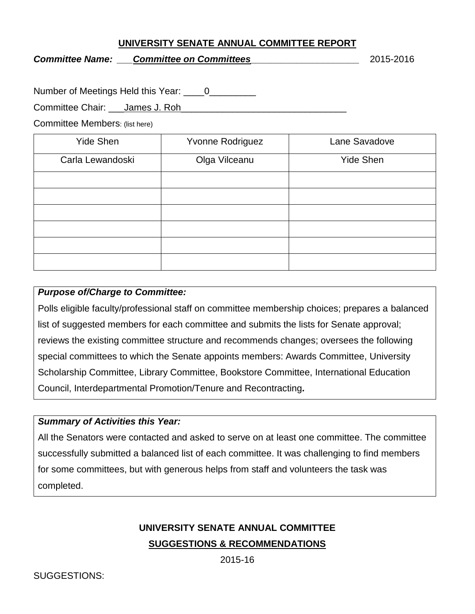#### **UNIVERSITY SENATE ANNUAL COMMITTEE REPORT**

*Committee Name: \_\_\_Committee on Committees\_\_\_\_\_\_\_\_\_\_\_\_\_\_\_\_\_\_\_\_\_* 2015-2016

Number of Meetings Held this Year: 0

Committee Chair: James J. Roh

Committee Members: (list here)

| <b>Yide Shen</b> | Yvonne Rodriguez | Lane Savadove    |
|------------------|------------------|------------------|
| Carla Lewandoski | Olga Vilceanu    | <b>Yide Shen</b> |
|                  |                  |                  |
|                  |                  |                  |
|                  |                  |                  |
|                  |                  |                  |
|                  |                  |                  |
|                  |                  |                  |

#### *Purpose of/Charge to Committee:*

Polls eligible faculty/professional staff on committee membership choices; prepares a balanced list of suggested members for each committee and submits the lists for Senate approval; reviews the existing committee structure and recommends changes; oversees the following special committees to which the Senate appoints members: Awards Committee, University Scholarship Committee, Library Committee, Bookstore Committee, International Education Council, Interdepartmental Promotion/Tenure and Recontracting*.*

## *Summary of Activities this Year:*

All the Senators were contacted and asked to serve on at least one committee. The committee successfully submitted a balanced list of each committee. It was challenging to find members for some committees, but with generous helps from staff and volunteers the task was completed.

# **UNIVERSITY SENATE ANNUAL COMMITTEE SUGGESTIONS & RECOMMENDATIONS**

2015-16